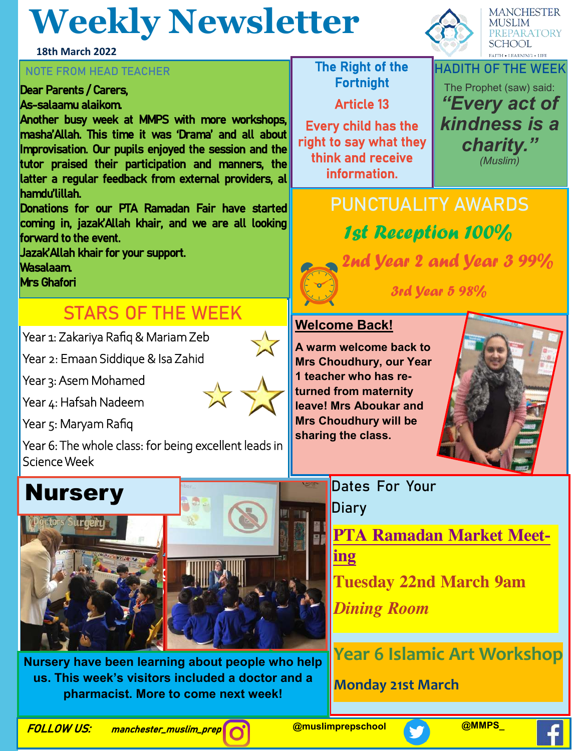## **Weekly Newsletter**

**18th March 2022**

#### **NOTE FROM HEAD TEACHER The Right of the**

Dear Parents / Carers, As-salaamu alaikom.

Another busy week at MMPS with more workshops, masha'Allah. This time it was 'Drama' and all about Improvisation. Our pupils enjoyed the session and the tutor praised their participation and manners, the latter a regular feedback from external providers, al hamdu'lillah.

Donations for our PTA Ramadan Fair have started coming in, jazak'Allah khair, and we are all looking forward to the event.

Jazak'Allah khair for your support.

Wasalaam.

Mrs Ghafori

### **STARS OF THE WEEK**

Year 1: Zakariya Rafiq & Mariam Zeb

Year 2: Emaan Siddique & Isa Zahid

Year 3: Asem Mohamed

Year 4: Hafsah Nadeem

Year 5: Maryam Rafiq

Year 6: The whole class: for being excellent leads in Science Week



**Tolerance. Nursery have been learning about people who help Appreciated Appreciated** a doctor and a **ing diversity.** *Eesa*  **pharmacist. More to come next week!**

Fortnight Article 13

Every child has the right to say what they think and receive information.



**MANCHESTER MUSLIM** 

**PUNCTUALITY AWARDS** 1st Reception 100% 2nd Year 2 and Year 3 99% 3rd Year 5 98%

**Welcome Back!**

**A warm welcome back to Mrs Choudhury, our Year 1 teacher who has returned from maternity leave! Mrs Aboukar and Mrs Choudhury will be sharing the class.**



**Dates For Your Diary**

**PTA Ramadan Market Meeting Tuesday 22nd March 9am** 

*Dining Room* 

**Year 6 Islamic Art Workshop**

**Monday 21st March**

FOLLOW US: manchester\_muslim\_prep